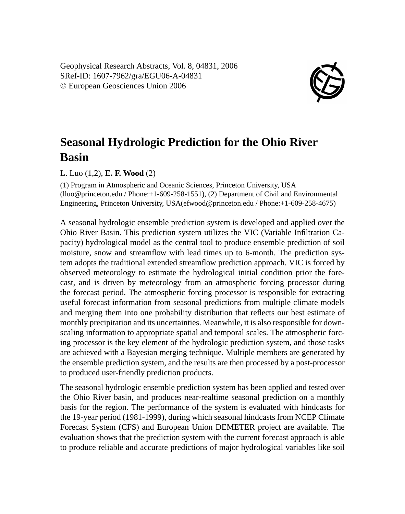Geophysical Research Abstracts, Vol. 8, 04831, 2006 SRef-ID: 1607-7962/gra/EGU06-A-04831 © European Geosciences Union 2006



## **Seasonal Hydrologic Prediction for the Ohio River Basin**

L. Luo (1,2), **E. F. Wood** (2)

(1) Program in Atmospheric and Oceanic Sciences, Princeton University, USA (lluo@princeton.edu / Phone:+1-609-258-1551), (2) Department of Civil and Environmental Engineering, Princeton University, USA(efwood@princeton.edu / Phone:+1-609-258-4675)

A seasonal hydrologic ensemble prediction system is developed and applied over the Ohio River Basin. This prediction system utilizes the VIC (Variable Infiltration Capacity) hydrological model as the central tool to produce ensemble prediction of soil moisture, snow and streamflow with lead times up to 6-month. The prediction system adopts the traditional extended streamflow prediction approach. VIC is forced by observed meteorology to estimate the hydrological initial condition prior the forecast, and is driven by meteorology from an atmospheric forcing processor during the forecast period. The atmospheric forcing processor is responsible for extracting useful forecast information from seasonal predictions from multiple climate models and merging them into one probability distribution that reflects our best estimate of monthly precipitation and its uncertainties. Meanwhile, it is also responsible for downscaling information to appropriate spatial and temporal scales. The atmospheric forcing processor is the key element of the hydrologic prediction system, and those tasks are achieved with a Bayesian merging technique. Multiple members are generated by the ensemble prediction system, and the results are then processed by a post-processor to produced user-friendly prediction products.

The seasonal hydrologic ensemble prediction system has been applied and tested over the Ohio River basin, and produces near-realtime seasonal prediction on a monthly basis for the region. The performance of the system is evaluated with hindcasts for the 19-year period (1981-1999), during which seasonal hindcasts from NCEP Climate Forecast System (CFS) and European Union DEMETER project are available. The evaluation shows that the prediction system with the current forecast approach is able to produce reliable and accurate predictions of major hydrological variables like soil